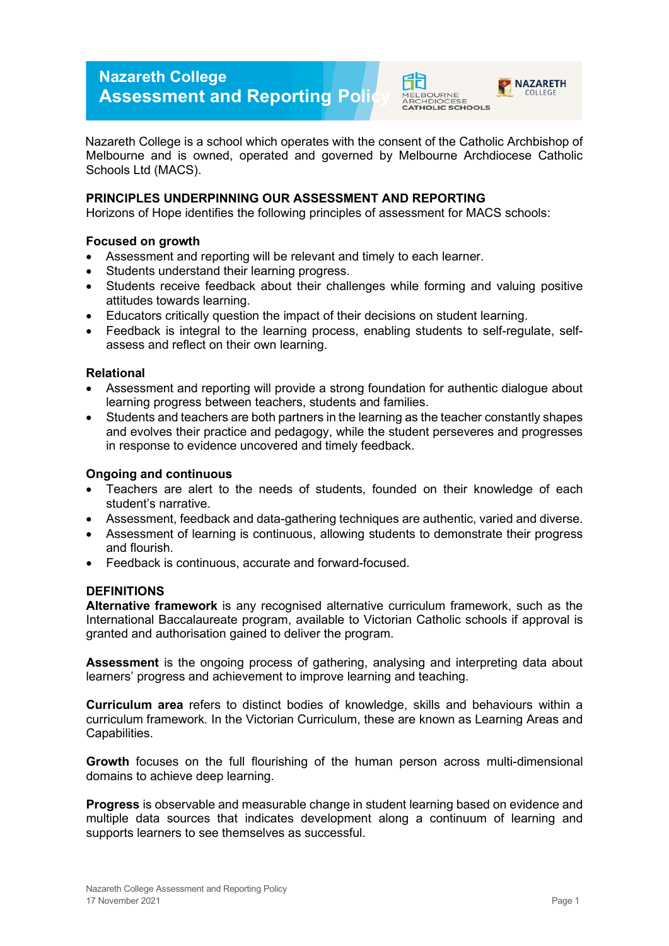# **Nazareth College Assessment and Reporting Poli**



COLLEGE



# **PRINCIPLES UNDERPINNING OUR ASSESSMENT AND REPORTING**

Horizons of Hope identifies the following principles of assessment for MACS schools:

#### **Focused on growth**

- Assessment and reporting will be relevant and timely to each learner.
- Students understand their learning progress.
- Students receive feedback about their challenges while forming and valuing positive attitudes towards learning.
- Educators critically question the impact of their decisions on student learning.
- Feedback is integral to the learning process, enabling students to self-regulate, selfassess and reflect on their own learning.

#### **Relational**

- Assessment and reporting will provide a strong foundation for authentic dialogue about learning progress between teachers, students and families.
- Students and teachers are both partners in the learning as the teacher constantly shapes and evolves their practice and pedagogy, while the student perseveres and progresses in response to evidence uncovered and timely feedback.

#### **Ongoing and continuous**

- Teachers are alert to the needs of students, founded on their knowledge of each student's narrative.
- Assessment, feedback and data-gathering techniques are authentic, varied and diverse.
- Assessment of learning is continuous, allowing students to demonstrate their progress and flourish.
- Feedback is continuous, accurate and forward-focused.

## **DEFINITIONS**

**Alternative framework** is any recognised alternative curriculum framework, such as the International Baccalaureate program, available to Victorian Catholic schools if approval is granted and authorisation gained to deliver the program.

**Assessment** is the ongoing process of gathering, analysing and interpreting data about learners' progress and achievement to improve learning and teaching.

**Curriculum area** refers to distinct bodies of knowledge, skills and behaviours within a curriculum framework. In the Victorian Curriculum, these are known as Learning Areas and Capabilities.

**Growth** focuses on the full flourishing of the human person across multi-dimensional domains to achieve deep learning.

**Progress** is observable and measurable change in student learning based on evidence and multiple data sources that indicates development along a continuum of learning and supports learners to see themselves as successful.